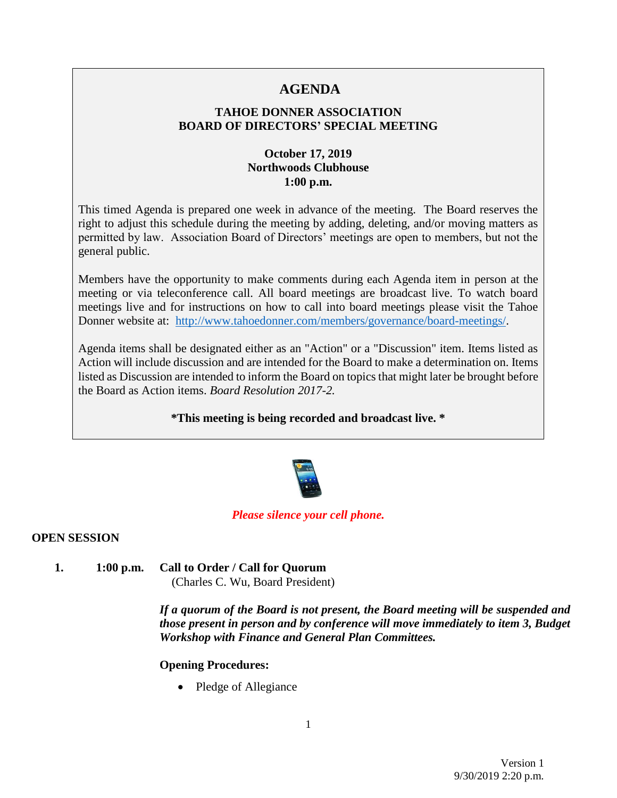# **AGENDA**

## **TAHOE DONNER ASSOCIATION BOARD OF DIRECTORS' SPECIAL MEETING**

# **October 17, 2019 Northwoods Clubhouse 1:00 p.m.**

This timed Agenda is prepared one week in advance of the meeting. The Board reserves the right to adjust this schedule during the meeting by adding, deleting, and/or moving matters as permitted by law. Association Board of Directors' meetings are open to members, but not the general public.

Members have the opportunity to make comments during each Agenda item in person at the meeting or via teleconference call. All board meetings are broadcast live. To watch board meetings live and for instructions on how to call into board meetings please visit the Tahoe Donner website at: [http://www.tahoedonner.com/members/governance/board-meetings/.](http://www.tahoedonner.com/members/governance/board-meetings/)

Agenda items shall be designated either as an "Action" or a "Discussion" item. Items listed as Action will include discussion and are intended for the Board to make a determination on. Items listed as Discussion are intended to inform the Board on topics that might later be brought before the Board as Action items. *Board Resolution 2017-2.*

#### **\*This meeting is being recorded and broadcast live. \***



#### *Please silence your cell phone.*

#### **OPEN SESSION**

**1. 1:00 p.m. Call to Order / Call for Quorum** (Charles C. Wu, Board President)

> *If a quorum of the Board is not present, the Board meeting will be suspended and those present in person and by conference will move immediately to item 3, Budget Workshop with Finance and General Plan Committees.*

#### **Opening Procedures:**

• Pledge of Allegiance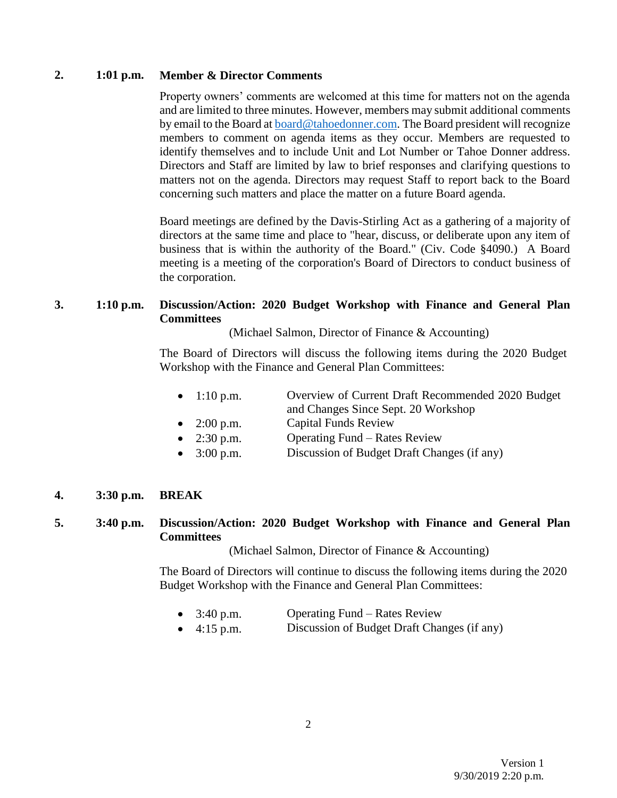#### **2. 1:01 p.m. Member & Director Comments**

Property owners' comments are welcomed at this time for matters not on the agenda and are limited to three minutes. However, members may submit additional comments by email to the Board at [board@tahoedonner.com.](mailto:board@tahoedonner.com) The Board president will recognize members to comment on agenda items as they occur. Members are requested to identify themselves and to include Unit and Lot Number or Tahoe Donner address. Directors and Staff are limited by law to brief responses and clarifying questions to matters not on the agenda. Directors may request Staff to report back to the Board concerning such matters and place the matter on a future Board agenda.

Board meetings are defined by the Davis-Stirling Act as a gathering of a majority of directors at the same time and place to "hear, discuss, or deliberate upon any item of business that is within the authority of the Board." (Civ. Code §4090.) A Board meeting is a meeting of the corporation's Board of Directors to conduct business of the corporation.

### **3. 1:10 p.m. Discussion/Action: 2020 Budget Workshop with Finance and General Plan Committees**

(Michael Salmon, Director of Finance & Accounting)

The Board of Directors will discuss the following items during the 2020 Budget Workshop with the Finance and General Plan Committees:

- 1:10 p.m. Overview of Current Draft Recommended 2020 Budget
- and Changes Since Sept. 20 Workshop
- 2:00 p.m. Capital Funds Review
	- 2:30 p.m. Operating Fund Rates Review
- 3:00 p.m. Discussion of Budget Draft Changes (if any)

#### **4. 3:30 p.m. BREAK**

**5. 3:40 p.m. Discussion/Action: 2020 Budget Workshop with Finance and General Plan Committees**

(Michael Salmon, Director of Finance & Accounting)

The Board of Directors will continue to discuss the following items during the 2020 Budget Workshop with the Finance and General Plan Committees:

- 3:40 p.m. Operating Fund Rates Review
- 4:15 p.m. Discussion of Budget Draft Changes (if any)